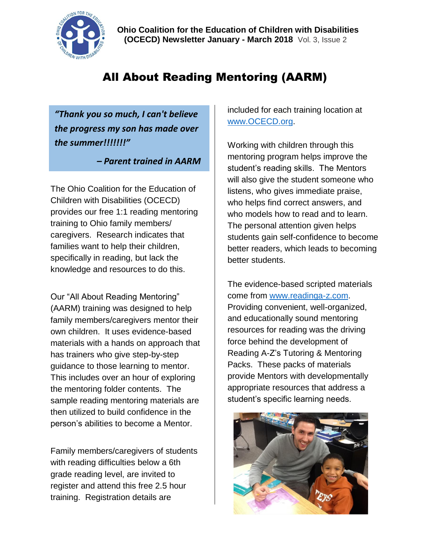

# All About Reading Mentoring (AARM)

*"Thank you so much, I can't believe the progress my son has made over the summer!!!!!!!"* 

 *– Parent trained in AARM*

The Ohio Coalition for the Education of Children with Disabilities (OCECD) provides our free 1:1 reading mentoring training to Ohio family members/ caregivers. Research indicates that families want to help their children, specifically in reading, but lack the knowledge and resources to do this.

Our "All About Reading Mentoring" (AARM) training was designed to help family members/caregivers mentor their own children. It uses evidence-based materials with a hands on approach that has trainers who give step-by-step guidance to those learning to mentor. This includes over an hour of exploring the mentoring folder contents. The sample reading mentoring materials are then utilized to build confidence in the person's abilities to become a Mentor.

Family members/caregivers of students with reading difficulties below a 6th grade reading level, are invited to register and attend this free 2.5 hour training. Registration details are

included for each training location at [www.OCECD.org.](http://www.ocecd.org/)

Working with children through this mentoring program helps improve the student's reading skills. The Mentors will also give the student someone who listens, who gives immediate praise, who helps find correct answers, and who models how to read and to learn. The personal attention given helps students gain self-confidence to become better readers, which leads to becoming better students.

The evidence-based scripted materials come from [www.readinga-z.com.](http://www.readinga-z.com/) Providing convenient, well-organized, and educationally sound mentoring resources for reading was the driving force behind the development of Reading A-Z's Tutoring & Mentoring Packs. These packs of materials provide Mentors with developmentally appropriate resources that address a student's specific learning needs.

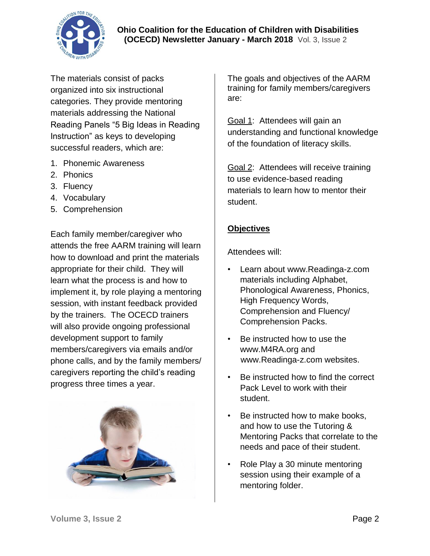

The materials consist of packs organized into six instructional categories. They provide mentoring materials addressing the National Reading Panels "5 Big Ideas in Reading Instruction" as keys to developing successful readers, which are:

- 1. Phonemic Awareness
- 2. Phonics
- 3. Fluency
- 4. Vocabulary
- 5. Comprehension

Each family member/caregiver who attends the free AARM training will learn how to download and print the materials appropriate for their child. They will learn what the process is and how to implement it, by role playing a mentoring session, with instant feedback provided by the trainers. The OCECD trainers will also provide ongoing professional development support to family members/caregivers via emails and/or phone calls, and by the family members/ caregivers reporting the child's reading progress three times a year.



The goals and objectives of the AARM training for family members/caregivers are:

Goal 1: Attendees will gain an understanding and functional knowledge of the foundation of literacy skills.

Goal 2: Attendees will receive training to use evidence-based reading materials to learn how to mentor their student.

### **Objectives**

Attendees will:

- Learn about www.Readinga-z.com materials including Alphabet, Phonological Awareness, Phonics, High Frequency Words, Comprehension and Fluency/ Comprehension Packs.
- Be instructed how to use the www.M4RA.org and www.Readinga-z.com websites.
- Be instructed how to find the correct Pack Level to work with their student.
- Be instructed how to make books, and how to use the Tutoring & Mentoring Packs that correlate to the needs and pace of their student.
- Role Play a 30 minute mentoring session using their example of a mentoring folder.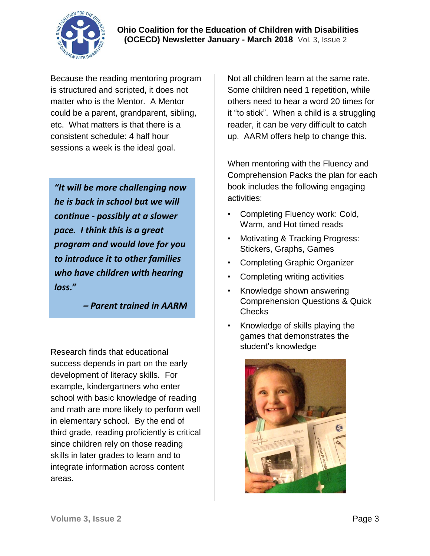

Because the reading mentoring program is structured and scripted, it does not matter who is the Mentor. A Mentor could be a parent, grandparent, sibling, etc. What matters is that there is a consistent schedule: 4 half hour sessions a week is the ideal goal.

*"It will be more challenging now he is back in school but we will continue - possibly at a slower pace. I think this is a great program and would love for you to introduce it to other families who have children with hearing loss."* 

 *– Parent trained in AARM*

Research finds that educational success depends in part on the early development of literacy skills. For example, kindergartners who enter school with basic knowledge of reading and math are more likely to perform well in elementary school. By the end of third grade, reading proficiently is critical since children rely on those reading skills in later grades to learn and to integrate information across content areas.

Not all children learn at the same rate. Some children need 1 repetition, while others need to hear a word 20 times for it "to stick". When a child is a struggling reader, it can be very difficult to catch up. AARM offers help to change this.

When mentoring with the Fluency and Comprehension Packs the plan for each book includes the following engaging activities:

- Completing Fluency work: Cold, Warm, and Hot timed reads
- Motivating & Tracking Progress: Stickers, Graphs, Games
- Completing Graphic Organizer
- Completing writing activities
- Knowledge shown answering Comprehension Questions & Quick Checks
- Knowledge of skills playing the games that demonstrates the student's knowledge

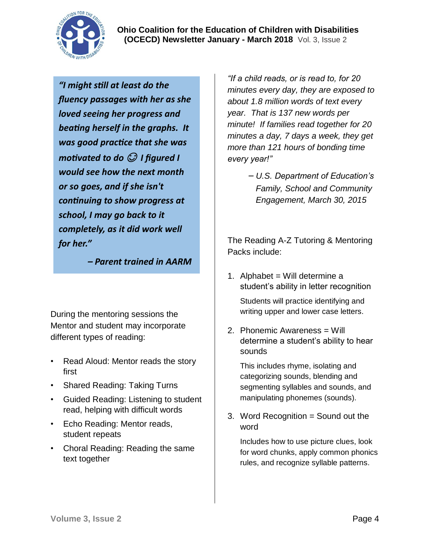**Ohio Coalition for the Education of Children with Disabilities (OCECD) Newsletter January - March 2018** Vol. 3, Issue 2

*"I might still at least do the fluency passages with her as she loved seeing her progress and beating herself in the graphs. It was good practice that she was motivated to do*  $\mathcal O$  *I figured I would see how the next month or so goes, and if she isn't continuing to show progress at school, I may go back to it completely, as it did work well for her."* 

 *– Parent trained in AARM*

During the mentoring sessions the Mentor and student may incorporate different types of reading:

- Read Aloud: Mentor reads the story first
- Shared Reading: Taking Turns
- Guided Reading: Listening to student read, helping with difficult words
- Echo Reading: Mentor reads, student repeats
- Choral Reading: Reading the same text together

*"If a child reads, or is read to, for 20 minutes every day, they are exposed to about 1.8 million words of text every year. That is 137 new words per minute! If families read together for 20 minutes a day, 7 days a week, they get more than 121 hours of bonding time every year!"* 

> *– U.S. Department of Education's Family, School and Community Engagement, March 30, 2015*

The Reading A-Z Tutoring & Mentoring Packs include:

1. Alphabet = Will determine a student's ability in letter recognition

Students will practice identifying and writing upper and lower case letters.

2. Phonemic Awareness = Will determine a student's ability to hear sounds

This includes rhyme, isolating and categorizing sounds, blending and segmenting syllables and sounds, and manipulating phonemes (sounds).

3. Word Recognition = Sound out the word

Includes how to use picture clues, look for word chunks, apply common phonics rules, and recognize syllable patterns.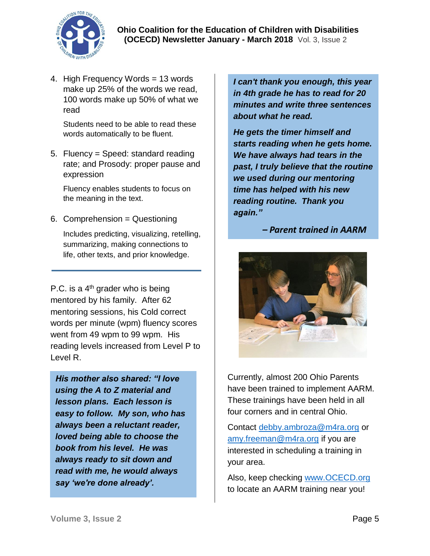

 **Ohio Coalition for the Education of Children with Disabilities (OCECD) Newsletter January - March 2018** Vol. 3, Issue 2

4. High Frequency Words = 13 words make up 25% of the words we read, 100 words make up 50% of what we read

Students need to be able to read these words automatically to be fluent.

5. Fluency = Speed: standard reading rate; and Prosody: proper pause and expression

Fluency enables students to focus on the meaning in the text.

6. Comprehension = Questioning

Includes predicting, visualizing, retelling, summarizing, making connections to life, other texts, and prior knowledge.

P.C. is a  $4<sup>th</sup>$  grader who is being mentored by his family. After 62 mentoring sessions, his Cold correct words per minute (wpm) fluency scores went from 49 wpm to 99 wpm. His reading levels increased from Level P to Level R.

*His mother also shared: "I love using the A to Z material and lesson plans. Each lesson is easy to follow. My son, who has always been a reluctant reader, loved being able to choose the book from his level. He was always ready to sit down and read with me, he would always say 'we're done already'.* 

*I can't thank you enough, this year in 4th grade he has to read for 20 minutes and write three sentences about what he read.*

*He gets the timer himself and starts reading when he gets home. We have always had tears in the past, I truly believe that the routine we used during our mentoring time has helped with his new reading routine. Thank you again."* 

#### *– Parent trained in AARM*



Currently, almost 200 Ohio Parents have been trained to implement AARM. These trainings have been held in all four corners and in central Ohio.

Contact [debby.ambroza@m4ra.org](mailto:debby.ambroza@m4ra.org) or [amy.freeman@m4ra.org](mailto:amy.freeman@m4ra.org) if you are interested in scheduling a training in your area.

Also, keep checking [www.OCECD.org](file:///C:/Users/OCECD/Desktop/E_Newsletter%20AARM/www.OCECD.org) to locate an AARM training near you!